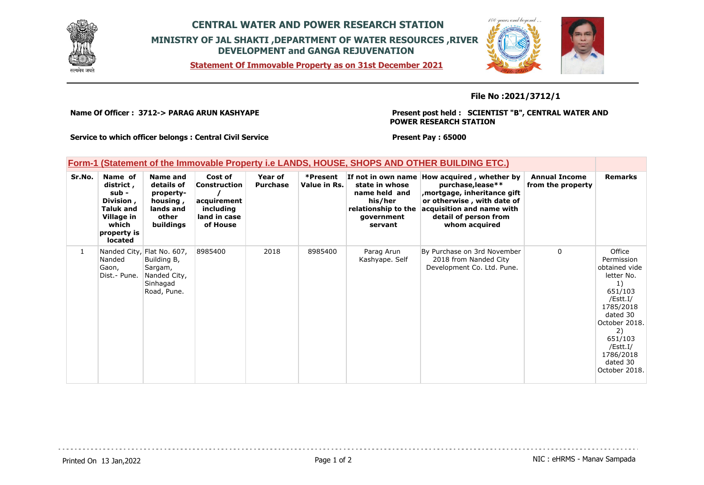

## **CENTRAL WATER AND POWER RESEARCH STATION MINISTRY OF JAL SHAKTI ,DEPARTMENT OF WATER RESOURCES ,RIVER DEVELOPMENT and GANGA REJUVENATION**





### **File No :2021/3712/1**

**Name Of Officer : 3712-> PARAG ARUN KASHYAPE** 

**Present post held : SCIENTIST "B", CENTRAL WATER AND POWER RESEARCH STATION**

**Service to which officer belongs : Central Civil Service**

**Present Pay : 65000**

## **Form-1 (Statement of the Immovable Property i.e LANDS, HOUSE, SHOPS AND OTHER BUILDING ETC.)**

| Sr.No.       | Name of<br>district,<br>sub -<br>Division,<br>Taluk and<br>Village in<br>which<br>property is<br>located | Name and<br>details of<br>property-<br>housing,<br>lands and<br>other<br>buildings              | Cost of<br>Construction<br>acquirement<br>including<br>land in case<br>of House | Year of<br><b>Purchase</b> | *Present<br>Value in Rs. | state in whose<br>name held and<br>his/her<br>relationship to the<br>government<br>servant | If not in own name How acquired, whether by<br>purchase, lease**<br>mortgage, inheritance gift<br>or otherwise, with date of<br>acquisition and name with<br>detail of person from<br>whom acquired | <b>Annual Income</b><br>from the property | <b>Remarks</b>                                                                                                                                                                                    |
|--------------|----------------------------------------------------------------------------------------------------------|-------------------------------------------------------------------------------------------------|---------------------------------------------------------------------------------|----------------------------|--------------------------|--------------------------------------------------------------------------------------------|-----------------------------------------------------------------------------------------------------------------------------------------------------------------------------------------------------|-------------------------------------------|---------------------------------------------------------------------------------------------------------------------------------------------------------------------------------------------------|
| $\mathbf{1}$ | Nanded<br>Gaon,<br>Dist.- Pune.                                                                          | Nanded City, Flat No. 607,<br>Building B,<br>Sargam,<br>Nanded City,<br>Sinhagad<br>Road, Pune. | 8985400                                                                         | 2018                       | 8985400                  | Parag Arun<br>Kashyape. Self                                                               | By Purchase on 3rd November<br>2018 from Nanded City<br>Development Co. Ltd. Pune.                                                                                                                  | 0                                         | Office<br>Permission<br>obtained vide<br>letter No.<br>1)<br>651/103<br>/Estt.I/<br>1785/2018<br>dated 30<br>October 2018.<br>2)<br>651/103<br>/Estt.I/<br>1786/2018<br>dated 30<br>October 2018. |